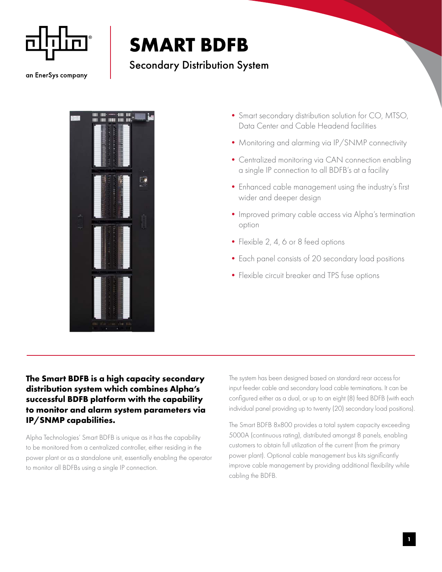

## **SMART BDFB**

## Secondary Distribution System

an EnerSys company



- •Smart secondary distribution solution for CO, MTSO, Data Center and Cable Headend facilities
- Monitoring and alarming via IP/SNMP connectivity
- Centralized monitoring via CAN connection enabling a single IP connection to all BDFB's at a facility
- •Enhanced cable management using the industry's first wider and deeper design
- •Improved primary cable access via Alpha's termination option
- Flexible 2, 4, 6 or 8 feed options
- •Each panel consists of 20 secondary load positions
- •Flexible circuit breaker and TPS fuse options

## **The Smart BDFB is a high capacity secondary distribution system which combines Alpha's successful BDFB platform with the capability to monitor and alarm system parameters via IP/SNMP capabilities.**

Alpha Technologies' Smart BDFB is unique as it has the capability to be monitored from a centralized controller, either residing in the power plant or as a standalone unit, essentially enabling the operator to monitor all BDFBs using a single IP connection.

The system has been designed based on standard rear access for input feeder cable and secondary load cable terminations. It can be configured either as a dual, or up to an eight (8) feed BDFB (with each individual panel providing up to twenty (20) secondary load positions).

The Smart BDFB 8x800 provides a total system capacity exceeding 5000A (continuous rating), distributed amongst 8 panels, enabling customers to obtain full utilization of the current (from the primary power plant). Optional cable management bus kits significantly improve cable management by providing additional flexibility while cabling the BDFB.